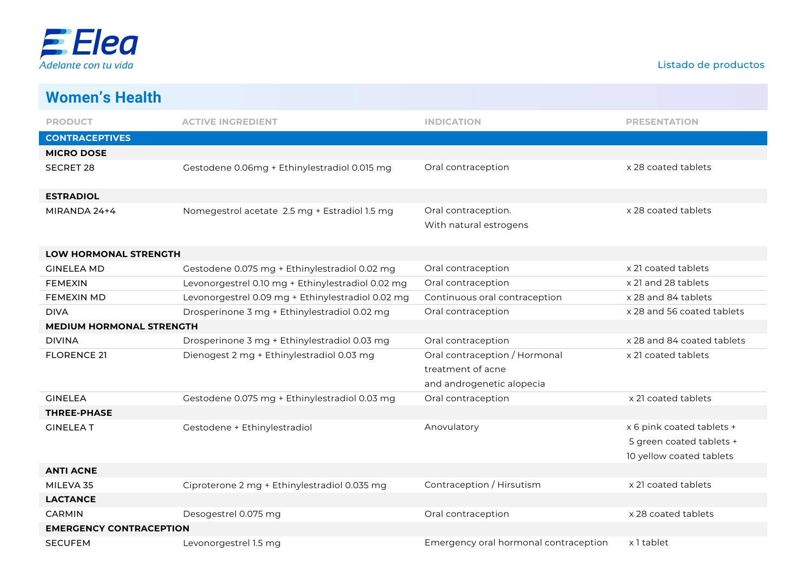

| <b>Women's Health</b>           |                                                   |                                                                                 |                                                                                   |
|---------------------------------|---------------------------------------------------|---------------------------------------------------------------------------------|-----------------------------------------------------------------------------------|
| <b>PRODUCT</b>                  | <b>ACTIVE INGREDIENT</b>                          | <b>INDICATION</b>                                                               | <b>PRESENTATION</b>                                                               |
| <b>CONTRACEPTIVES</b>           |                                                   |                                                                                 |                                                                                   |
| <b>MICRO DOSE</b>               |                                                   |                                                                                 |                                                                                   |
| <b>SECRET 28</b>                | Gestodene 0.06mg + Ethinylestradiol 0.015 mg      | Oral contraception                                                              | x 28 coated tablets                                                               |
| <b>ESTRADIOL</b>                |                                                   |                                                                                 |                                                                                   |
| MIRANDA 24+4                    | Nomegestrol acetate 2.5 mg + Estradiol 1.5 mg     | Oral contraception.<br>With natural estrogens                                   | x 28 coated tablets                                                               |
| LOW HORMONAL STRENGTH           |                                                   |                                                                                 |                                                                                   |
| <b>GINELEA MD</b>               | Gestodene 0.075 mg + Ethinylestradiol 0.02 mg     | Oral contraception                                                              | x 21 coated tablets                                                               |
| <b>FEMEXIN</b>                  | Levonorgestrel 0.10 mg + Ethinylestradiol 0.02 mg | Oral contraception                                                              | x 21 and 28 tablets                                                               |
| <b>FEMEXIN MD</b>               | Levonorgestrel 0.09 mg + Ethinylestradiol 0.02 mg | Continuous oral contraception                                                   | x 28 and 84 tablets                                                               |
| <b>DIVA</b>                     | Drosperinone 3 mg + Ethinylestradiol 0.02 mg      | Oral contraception                                                              | x 28 and 56 coated tablets                                                        |
| <b>MEDIUM HORMONAL STRENGTH</b> |                                                   |                                                                                 |                                                                                   |
| <b>DIVINA</b>                   | Drosperinone 3 mg + Ethinylestradiol 0.03 mg      | Oral contraception                                                              | x 28 and 84 coated tablets                                                        |
| <b>FLORENCE 21</b>              | Dienogest 2 mg + Ethinylestradiol 0.03 mg         | Oral contraception / Hormonal<br>treatment of acne<br>and androgenetic alopecia | x 21 coated tablets                                                               |
| <b>GINELEA</b>                  | Gestodene 0.075 mg + Ethinylestradiol 0.03 mg     | Oral contraception                                                              | x 21 coated tablets                                                               |
| <b>THREE-PHASE</b>              |                                                   |                                                                                 |                                                                                   |
| <b>GINELEAT</b>                 | Gestodene + Ethinylestradiol                      | Anovulatory                                                                     | x 6 pink coated tablets +<br>5 green coated tablets +<br>10 yellow coated tablets |
| <b>ANTI ACNE</b>                |                                                   |                                                                                 |                                                                                   |
| MILEVA 35                       | Ciproterone 2 mg + Ethinylestradiol 0.035 mg      | Contraception / Hirsutism                                                       | x 21 coated tablets                                                               |
| <b>LACTANCE</b>                 |                                                   |                                                                                 |                                                                                   |
| <b>CARMIN</b>                   | Desogestrel 0.075 mg                              | Oral contraception                                                              | x 28 coated tablets                                                               |
| <b>EMERGENCY CONTRACEPTION</b>  |                                                   |                                                                                 |                                                                                   |
| <b>SECUFEM</b>                  | Levonorgestrel 1.5 mg                             | Emergency oral hormonal contraception                                           | x 1 tablet                                                                        |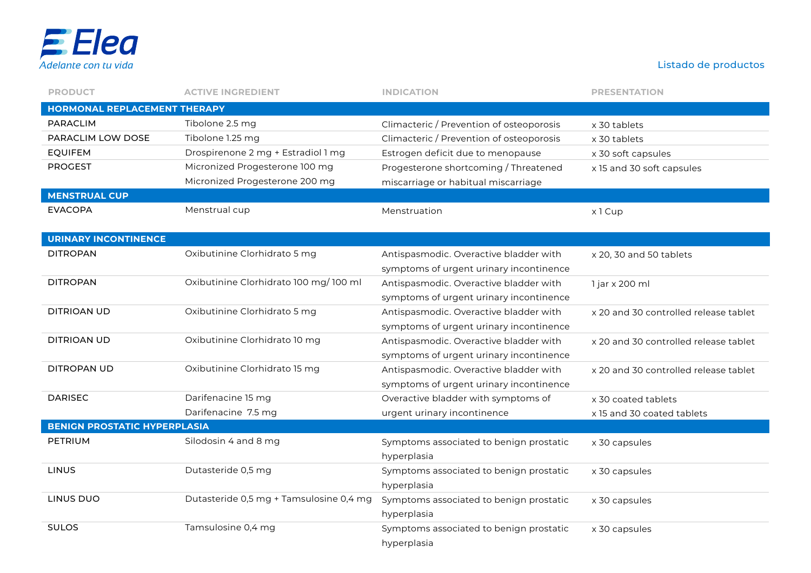

| <b>PRODUCT</b>                      | <b>ACTIVE INGREDIENT</b>                | <b>INDICATION</b>                        | <b>PRESENTATION</b>                   |
|-------------------------------------|-----------------------------------------|------------------------------------------|---------------------------------------|
| <b>HORMONAL REPLACEMENT THERAPY</b> |                                         |                                          |                                       |
| <b>PARACLIM</b>                     | Tibolone 2.5 mg                         | Climacteric / Prevention of osteoporosis | x 30 tablets                          |
| PARACLIM LOW DOSE                   | Tibolone 1.25 mg                        | Climacteric / Prevention of osteoporosis | x 30 tablets                          |
| <b>EQUIFEM</b>                      | Drospirenone 2 mg + Estradiol 1 mg      | Estrogen deficit due to menopause        | x 30 soft capsules                    |
| <b>PROGEST</b>                      | Micronized Progesterone 100 mg          | Progesterone shortcoming / Threatened    | x 15 and 30 soft capsules             |
|                                     | Micronized Progesterone 200 mg          | miscarriage or habitual miscarriage      |                                       |
| <b>MENSTRUAL CUP</b>                |                                         |                                          |                                       |
| <b>EVACOPA</b>                      | Menstrual cup                           | Menstruation                             | x1 Cup                                |
|                                     |                                         |                                          |                                       |
| <b>URINARY INCONTINENCE</b>         |                                         |                                          |                                       |
| <b>DITROPAN</b>                     | Oxibutinine Clorhidrato 5 mg            | Antispasmodic. Overactive bladder with   | x 20, 30 and 50 tablets               |
|                                     |                                         | symptoms of urgent urinary incontinence  |                                       |
| <b>DITROPAN</b>                     | Oxibutinine Clorhidrato 100 mg/100 ml   | Antispasmodic. Overactive bladder with   | 1 jar x 200 ml                        |
|                                     |                                         | symptoms of urgent urinary incontinence  |                                       |
| DITRIOAN UD                         | Oxibutinine Clorhidrato 5 mg            | Antispasmodic. Overactive bladder with   | x 20 and 30 controlled release tablet |
|                                     |                                         | symptoms of urgent urinary incontinence  |                                       |
| <b>DITRIOAN UD</b>                  | Oxibutinine Clorhidrato 10 mg           | Antispasmodic. Overactive bladder with   | x 20 and 30 controlled release tablet |
|                                     |                                         | symptoms of urgent urinary incontinence  |                                       |
| DITROPAN UD                         | Oxibutinine Clorhidrato 15 mg           | Antispasmodic. Overactive bladder with   | x 20 and 30 controlled release tablet |
|                                     |                                         | symptoms of urgent urinary incontinence  |                                       |
| <b>DARISEC</b>                      | Darifenacine 15 mg                      | Overactive bladder with symptoms of      | x 30 coated tablets                   |
|                                     | Darifenacine 7.5 mg                     | urgent urinary incontinence              | x 15 and 30 coated tablets            |
| <b>BENIGN PROSTATIC HYPERPLASIA</b> |                                         |                                          |                                       |
| PETRIUM                             | Silodosin 4 and 8 mg                    | Symptoms associated to benign prostatic  | x 30 capsules                         |
|                                     |                                         | hyperplasia                              |                                       |
| <b>LINUS</b>                        | Dutasteride 0,5 mg                      | Symptoms associated to benign prostatic  | x 30 capsules                         |
|                                     |                                         | hyperplasia                              |                                       |
| LINUS DUO                           | Dutasteride 0,5 mg + Tamsulosine 0,4 mg | Symptoms associated to benign prostatic  | x 30 capsules                         |
|                                     |                                         | hyperplasia                              |                                       |
| <b>SULOS</b>                        | Tamsulosine 0,4 mg                      | Symptoms associated to benign prostatic  | x 30 capsules                         |
|                                     |                                         | hyperplasia                              |                                       |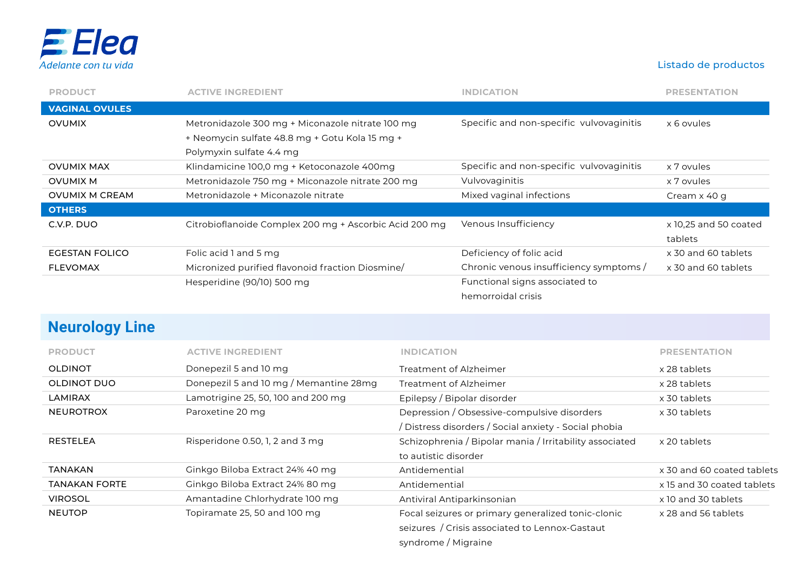

| <b>PRODUCT</b>        | <b>ACTIVE INGREDIENT</b>                               | <b>INDICATION</b>                        | <b>PRESENTATION</b>   |
|-----------------------|--------------------------------------------------------|------------------------------------------|-----------------------|
| <b>VAGINAL OVULES</b> |                                                        |                                          |                       |
| <b>OVUMIX</b>         | Metronidazole 300 mg + Miconazole nitrate 100 mg       | Specific and non-specific vulvovaginitis | x 6 ovules            |
|                       | + Neomycin sulfate 48.8 mg + Gotu Kola 15 mg +         |                                          |                       |
|                       | Polymyxin sulfate 4.4 mg                               |                                          |                       |
| <b>OVUMIX MAX</b>     | Klindamicine 100,0 mg + Ketoconazole 400mg             | Specific and non-specific vulvovaginitis | x 7 ovules            |
| OVUMIX M              | Metronidazole 750 mg + Miconazole nitrate 200 mg       | Vulvovaginitis                           | x 7 ovules            |
| <b>OVUMIX M CREAM</b> | Metronidazole + Miconazole nitrate                     | Mixed vaginal infections                 | Cream x 40 g          |
| <b>OTHERS</b>         |                                                        |                                          |                       |
| C.V.P. DUO            | Citrobioflanoide Complex 200 mg + Ascorbic Acid 200 mg | Venous Insufficiency                     | x 10.25 and 50 coated |
|                       |                                                        |                                          | tablets               |
| <b>EGESTAN FOLICO</b> | Folic acid 1 and 5 mg                                  | Deficiency of folic acid                 | x 30 and 60 tablets   |
| <b>FLEVOMAX</b>       | Micronized purified flavonoid fraction Diosmine/       | Chronic venous insufficiency symptoms /  | x 30 and 60 tablets   |
|                       | Hesperidine (90/10) 500 mg                             | Functional signs associated to           |                       |
|                       |                                                        | hemorroidal crisis                       |                       |

### **Neurology Line**

| <b>PRODUCT</b>       | <b>ACTIVE INGREDIENT</b>               | <b>INDICATION</b>                                       | <b>PRESENTATION</b>        |
|----------------------|----------------------------------------|---------------------------------------------------------|----------------------------|
| <b>OLDINOT</b>       | Donepezil 5 and 10 mg                  | Treatment of Alzheimer                                  | x 28 tablets               |
| <b>OLDINOT DUO</b>   | Donepezil 5 and 10 mg / Memantine 28mg | Treatment of Alzheimer                                  | x 28 tablets               |
| <b>LAMIRAX</b>       | Lamotrigine 25, 50, 100 and 200 mg     | Epilepsy / Bipolar disorder                             | x 30 tablets               |
| <b>NEUROTROX</b>     | Paroxetine 20 mg                       | Depression / Obsessive-compulsive disorders             | x 30 tablets               |
|                      |                                        | Distress disorders / Social anxiety - Social phobia     |                            |
| <b>RESTELEA</b>      | Risperidone 0.50, 1, 2 and 3 mg        | Schizophrenia / Bipolar mania / Irritability associated | x 20 tablets               |
|                      |                                        | to autistic disorder                                    |                            |
| TANAKAN              | Ginkgo Biloba Extract 24% 40 mg        | Antidemential                                           | x 30 and 60 coated tablets |
| <b>TANAKAN FORTE</b> | Ginkgo Biloba Extract 24% 80 mg        | Antidemential                                           | x 15 and 30 coated tablets |
| <b>VIROSOL</b>       | Amantadine Chlorhydrate 100 mg         | Antiviral Antiparkinsonian                              | x 10 and 30 tablets        |
| <b>NEUTOP</b>        | Topiramate 25, 50 and 100 mg           | Focal seizures or primary generalized tonic-clonic      | x 28 and 56 tablets        |
|                      |                                        | seizures / Crisis associated to Lennox-Gastaut          |                            |
|                      |                                        | syndrome / Migraine                                     |                            |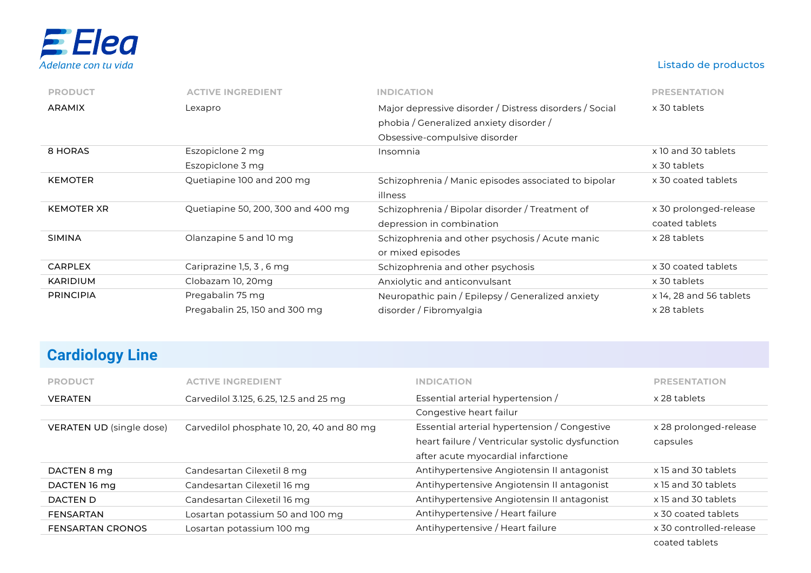

| <b>PRODUCT</b>    | <b>ACTIVE INGREDIENT</b>             | <b>INDICATION</b>                                                                                                                   | <b>PRESENTATION</b>                 |
|-------------------|--------------------------------------|-------------------------------------------------------------------------------------------------------------------------------------|-------------------------------------|
| <b>ARAMIX</b>     | Lexapro                              | Major depressive disorder / Distress disorders / Social<br>phobia / Generalized anxiety disorder /<br>Obsessive-compulsive disorder | x 30 tablets                        |
| 8 HORAS           | Eszopiclone 2 mg<br>Eszopiclone 3 mg | Insomnia                                                                                                                            | x 10 and 30 tablets<br>x 30 tablets |
| <b>KEMOTER</b>    | Quetiapine 100 and 200 mg            | Schizophrenia / Manic episodes associated to bipolar<br>illness                                                                     | x 30 coated tablets                 |
| <b>KEMOTER XR</b> | Quetiapine 50, 200, 300 and 400 mg   | Schizophrenia / Bipolar disorder / Treatment of                                                                                     | x 30 prolonged-release              |
|                   |                                      | depression in combination                                                                                                           | coated tablets                      |
| <b>SIMINA</b>     | Olanzapine 5 and 10 mg               | Schizophrenia and other psychosis / Acute manic<br>or mixed episodes                                                                | x 28 tablets                        |
| <b>CARPLEX</b>    | Cariprazine 1,5, 3, 6 mg             | Schizophrenia and other psychosis                                                                                                   | x 30 coated tablets                 |
| <b>KARIDIUM</b>   | Clobazam 10, 20mg                    | Anxiolytic and anticonvulsant                                                                                                       | x 30 tablets                        |

# **Cardiology Line**

| <b>PRODUCT</b>           | <b>ACTIVE INGREDIENT</b>                  | <b>INDICATION</b>                                | <b>PRESENTATION</b>     |
|--------------------------|-------------------------------------------|--------------------------------------------------|-------------------------|
| <b>VERATEN</b>           | Carvedilol 3.125, 6.25, 12.5 and 25 mg    | Essential arterial hypertension /                | x 28 tablets            |
|                          |                                           | Congestive heart failur                          |                         |
| VERATEN UD (single dose) | Carvedilol phosphate 10, 20, 40 and 80 mg | Essential arterial hypertension / Congestive     | x 28 prolonged-release  |
|                          |                                           | heart failure / Ventricular systolic dysfunction | capsules                |
|                          |                                           | after acute myocardial infarctione               |                         |
| DACTEN 8 mg              | Candesartan Cilexetil 8 mg                | Antihypertensive Angiotensin II antagonist       | x 15 and 30 tablets     |
| DACTEN 16 mg             | Candesartan Cilexetil 16 mg               | Antihypertensive Angiotensin II antagonist       | x 15 and 30 tablets     |
| DACTEN D                 | Candesartan Cilexetil 16 mg               | Antihypertensive Angiotensin II antagonist       | x 15 and 30 tablets     |
| <b>FENSARTAN</b>         | Losartan potassium 50 and 100 mg          | Antihypertensive / Heart failure                 | x 30 coated tablets     |
| <b>FENSARTAN CRONOS</b>  | Losartan potassium 100 mg                 | Antihypertensive / Heart failure                 | x 30 controlled-release |
|                          |                                           |                                                  | coated tablets          |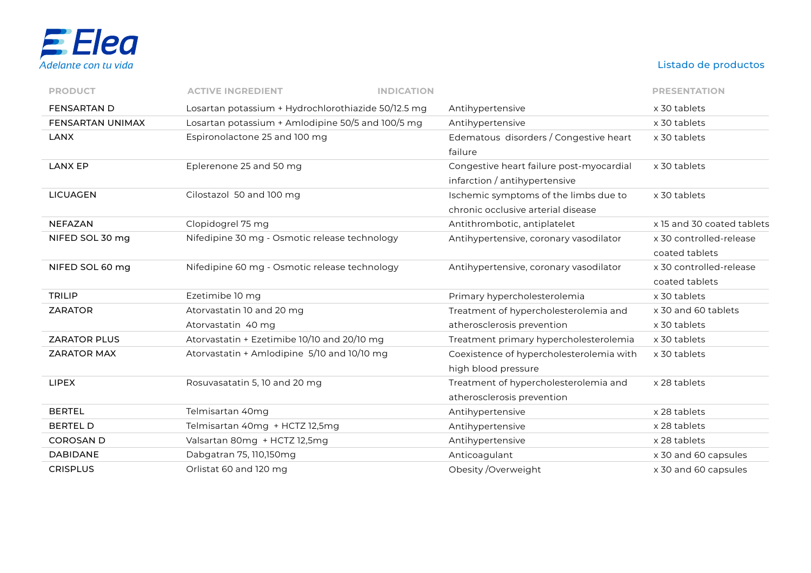

| <b>PRODUCT</b>      | <b>ACTIVE INGREDIENT</b><br><b>INDICATION</b>       |                                          | <b>PRESENTATION</b>        |
|---------------------|-----------------------------------------------------|------------------------------------------|----------------------------|
| <b>FENSARTAN D</b>  | Losartan potassium + Hydrochlorothiazide 50/12.5 mg | Antihypertensive                         | x 30 tablets               |
| FENSARTAN UNIMAX    | Losartan potassium + Amlodipine 50/5 and 100/5 mg   | Antihypertensive                         | x 30 tablets               |
| <b>LANX</b>         | Espironolactone 25 and 100 mg                       | Edematous disorders / Congestive heart   | x 30 tablets               |
|                     |                                                     | failure                                  |                            |
| <b>LANX EP</b>      | Eplerenone 25 and 50 mg                             | Congestive heart failure post-myocardial | x 30 tablets               |
|                     |                                                     | infarction / antihypertensive            |                            |
| <b>LICUAGEN</b>     | Cilostazol 50 and 100 mg                            | Ischemic symptoms of the limbs due to    | x 30 tablets               |
|                     |                                                     | chronic occlusive arterial disease       |                            |
| <b>NEFAZAN</b>      | Clopidogrel 75 mg                                   | Antithrombotic, antiplatelet             | x 15 and 30 coated tablets |
| NIFED SOL 30 mg     | Nifedipine 30 mg - Osmotic release technology       | Antihypertensive, coronary vasodilator   | x 30 controlled-release    |
|                     |                                                     |                                          | coated tablets             |
| NIFED SOL 60 mg     | Nifedipine 60 mg - Osmotic release technology       | Antihypertensive, coronary vasodilator   | x 30 controlled-release    |
|                     |                                                     |                                          | coated tablets             |
| <b>TRILIP</b>       | Ezetimibe 10 mg                                     | Primary hypercholesterolemia             | x 30 tablets               |
| <b>ZARATOR</b>      | Atorvastatin 10 and 20 mg                           | Treatment of hypercholesterolemia and    | x 30 and 60 tablets        |
|                     | Atorvastatin 40 mg                                  | atherosclerosis prevention               | x 30 tablets               |
| <b>ZARATOR PLUS</b> | Atorvastatin + Ezetimibe 10/10 and 20/10 mg         | Treatment primary hypercholesterolemia   | x 30 tablets               |
| <b>ZARATOR MAX</b>  | Atorvastatin + Amlodipine 5/10 and 10/10 mg         | Coexistence of hypercholesterolemia with | x 30 tablets               |
|                     |                                                     | high blood pressure                      |                            |
| <b>LIPEX</b>        | Rosuvasatatin 5, 10 and 20 mg                       | Treatment of hypercholesterolemia and    | x 28 tablets               |
|                     |                                                     | atherosclerosis prevention               |                            |
| <b>BERTEL</b>       | Telmisartan 40mg                                    | Antihypertensive                         | x 28 tablets               |
| <b>BERTEL D</b>     | Telmisartan 40mg + HCTZ 12,5mg                      | Antihypertensive                         | x 28 tablets               |
| <b>COROSAN D</b>    | Valsartan 80mg + HCTZ 12,5mg                        | Antihypertensive                         | x 28 tablets               |
| <b>DABIDANE</b>     | Dabgatran 75, 110,150mg                             | Anticoagulant                            | x 30 and 60 capsules       |
| <b>CRISPLUS</b>     | Orlistat 60 and 120 mg                              | Obesity / Overweight                     | x 30 and 60 capsules       |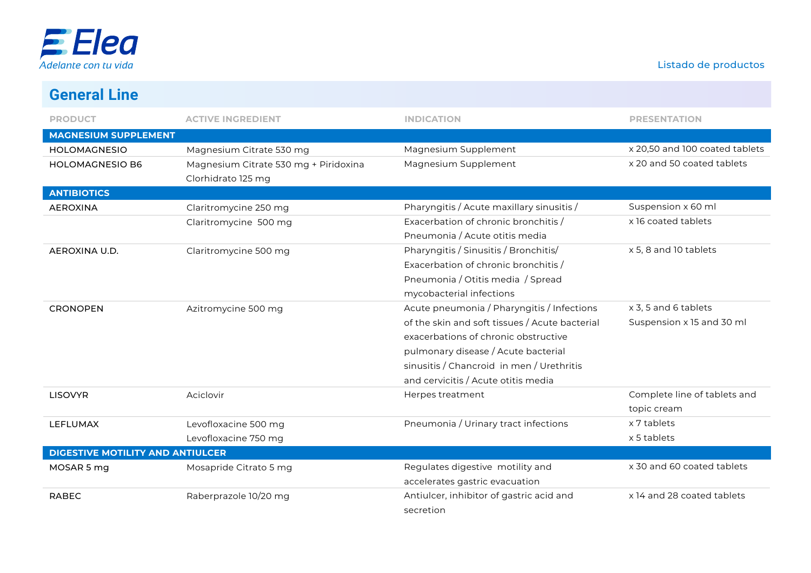

# **General Line**

| <b>PRODUCT</b>                          | <b>ACTIVE INGREDIENT</b>              | <b>INDICATION</b>                              | <b>PRESENTATION</b>            |
|-----------------------------------------|---------------------------------------|------------------------------------------------|--------------------------------|
| <b>MAGNESIUM SUPPLEMENT</b>             |                                       |                                                |                                |
| <b>HOLOMAGNESIO</b>                     | Magnesium Citrate 530 mg              | Magnesium Supplement                           | x 20,50 and 100 coated tablets |
| <b>HOLOMAGNESIO B6</b>                  | Magnesium Citrate 530 mg + Piridoxina | Magnesium Supplement                           | x 20 and 50 coated tablets     |
|                                         | Clorhidrato 125 mg                    |                                                |                                |
| <b>ANTIBIOTICS</b>                      |                                       |                                                |                                |
| <b>AEROXINA</b>                         | Claritromycine 250 mg                 | Pharyngitis / Acute maxillary sinusitis /      | Suspension x 60 ml             |
|                                         | Claritromycine 500 mg                 | Exacerbation of chronic bronchitis /           | x 16 coated tablets            |
|                                         |                                       | Pneumonia / Acute otitis media                 |                                |
| AEROXINA U.D.                           | Claritromycine 500 mg                 | Pharyngitis / Sinusitis / Bronchitis/          | x 5, 8 and 10 tablets          |
|                                         |                                       | Exacerbation of chronic bronchitis /           |                                |
|                                         |                                       | Pneumonia / Otitis media / Spread              |                                |
|                                         |                                       | mycobacterial infections                       |                                |
| <b>CRONOPEN</b>                         | Azitromycine 500 mg                   | Acute pneumonia / Pharyngitis / Infections     | x 3, 5 and 6 tablets           |
|                                         |                                       | of the skin and soft tissues / Acute bacterial | Suspension x 15 and 30 ml      |
|                                         |                                       | exacerbations of chronic obstructive           |                                |
|                                         |                                       | pulmonary disease / Acute bacterial            |                                |
|                                         |                                       | sinusitis / Chancroid in men / Urethritis      |                                |
|                                         |                                       | and cervicitis / Acute otitis media            |                                |
| <b>LISOVYR</b>                          | Aciclovir                             | Herpes treatment                               | Complete line of tablets and   |
|                                         |                                       |                                                | topic cream                    |
| <b>LEFLUMAX</b>                         | Levofloxacine 500 mg                  | Pneumonia / Urinary tract infections           | x 7 tablets                    |
|                                         | Levofloxacine 750 mg                  |                                                | x 5 tablets                    |
| <b>DIGESTIVE MOTILITY AND ANTIULCER</b> |                                       |                                                |                                |
| MOSAR 5 mg                              | Mosapride Citrato 5 mg                | Regulates digestive motility and               | x 30 and 60 coated tablets     |
|                                         |                                       | accelerates gastric evacuation                 |                                |
| <b>RABEC</b>                            | Raberprazole 10/20 mg                 | Antiulcer, inhibitor of gastric acid and       | x 14 and 28 coated tablets     |
|                                         |                                       | secretion                                      |                                |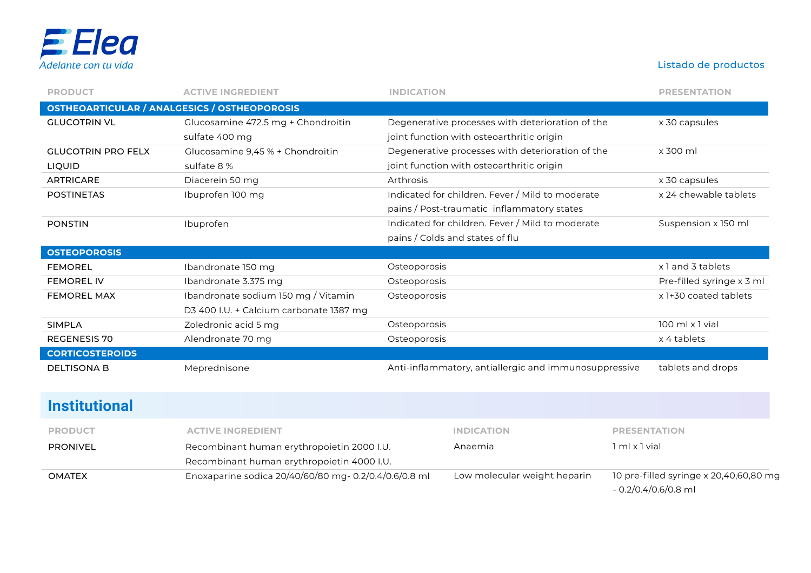

| <b>PRODUCT</b>                                      | <b>ACTIVE INGREDIENT</b>                | <b>INDICATION</b>                                     | <b>PRESENTATION</b>       |
|-----------------------------------------------------|-----------------------------------------|-------------------------------------------------------|---------------------------|
| <b>OSTHEOARTICULAR / ANALGESICS / OSTHEOPOROSIS</b> |                                         |                                                       |                           |
| <b>GLUCOTRIN VL</b>                                 | Glucosamine 472.5 mg + Chondroitin      | Degenerative processes with deterioration of the      | x 30 capsules             |
|                                                     | sulfate 400 mg                          | joint function with osteoarthritic origin             |                           |
| <b>GLUCOTRIN PRO FELX</b>                           | Glucosamine 9,45 % + Chondroitin        | Degenerative processes with deterioration of the      | x 300 ml                  |
| LIQUID                                              | sulfate 8 %                             | joint function with osteoarthritic origin             |                           |
| <b>ARTRICARE</b>                                    | Diacerein 50 mg                         | Arthrosis                                             | x 30 capsules             |
| <b>POSTINETAS</b>                                   | Ibuprofen 100 mg                        | Indicated for children. Fever / Mild to moderate      | x 24 chewable tablets     |
|                                                     |                                         | pains / Post-traumatic inflammatory states            |                           |
| <b>PONSTIN</b>                                      | Ibuprofen                               | Indicated for children. Fever / Mild to moderate      | Suspension x 150 ml       |
|                                                     |                                         | pains / Colds and states of flu                       |                           |
| <b>OSTEOPOROSIS</b>                                 |                                         |                                                       |                           |
| <b>FEMOREL</b>                                      | Ibandronate 150 mg                      | Osteoporosis                                          | x 1 and 3 tablets         |
| <b>FEMOREL IV</b>                                   | Ibandronate 3.375 mg                    | Osteoporosis                                          | Pre-filled syringe x 3 ml |
| <b>FEMOREL MAX</b>                                  | Ibandronate sodium 150 mg / Vitamin     | Osteoporosis                                          | x 1+30 coated tablets     |
|                                                     | D3 400 I.U. + Calcium carbonate 1387 mg |                                                       |                           |
| <b>SIMPLA</b>                                       | Zoledronic acid 5 mg                    | Osteoporosis                                          | 100 ml x 1 vial           |
| <b>REGENESIS 70</b>                                 | Alendronate 70 mg                       | Osteoporosis                                          | x 4 tablets               |
| <b>CORTICOSTEROIDS</b>                              |                                         |                                                       |                           |
| <b>DELTISONA B</b>                                  | Meprednisone                            | Anti-inflammatory, antiallergic and immunosuppressive | tablets and drops         |
|                                                     |                                         |                                                       |                           |
| <b>Institutional</b>                                |                                         |                                                       |                           |

| <b>PRODUCT</b>  | <b>ACTIVE INGREDIENT</b>                                                                 | <b>INDICATION</b>            | <b>PRESENTATION</b>                                            |
|-----------------|------------------------------------------------------------------------------------------|------------------------------|----------------------------------------------------------------|
| <b>PRONIVEL</b> | Recombinant human erythropoietin 2000 I.U.<br>Recombinant human erythropoietin 4000 I.U. | Anaemia                      | 1 ml x 1 vial                                                  |
| <b>OMATEX</b>   | Enoxaparine sodica 20/40/60/80 mg- 0.2/0.4/0.6/0.8 ml                                    | Low molecular weight heparin | 10 pre-filled syringe x 20,40,60,80 mg<br>- 0.2/0.4/0.6/0.8 ml |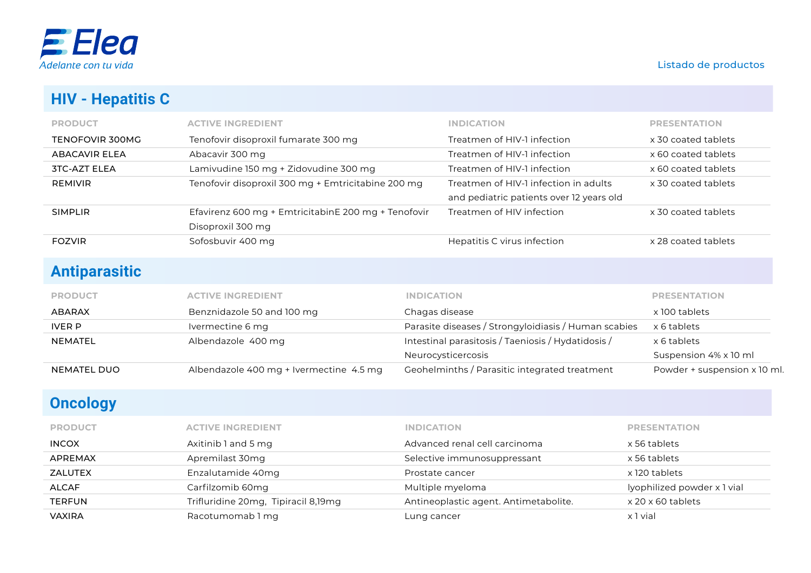

## **HIV - Hepatitis C**

| <b>PRODUCT</b>      | <b>ACTIVE INGREDIENT</b>                            | <b>INDICATION</b>                        | <b>PRESENTATION</b> |
|---------------------|-----------------------------------------------------|------------------------------------------|---------------------|
| TENOFOVIR 300MG     | Tenofovir disoproxil fumarate 300 mg                | Treatmen of HIV-1 infection              | x 30 coated tablets |
| ABACAVIR FLFA       | Abacavir 300 mg                                     | Treatmen of HIV-1 infection              | x 60 coated tablets |
| <b>3TC-AZT ELEA</b> | Lamivudine 150 mg + Zidovudine 300 mg               | Treatmen of HIV-1 infection              | x 60 coated tablets |
| <b>REMIVIR</b>      | Tenofovir disoproxil 300 mg + Emtricitabine 200 mg  | Treatmen of HIV-1 infection in adults    | x 30 coated tablets |
|                     |                                                     | and pediatric patients over 12 years old |                     |
| <b>SIMPLIR</b>      | Efavirenz 600 mg + EmtricitabinE 200 mg + Tenofovir | Treatmen of HIV infection                | x 30 coated tablets |
|                     | Disoproxil 300 mg                                   |                                          |                     |
| <b>FOZVIR</b>       | Sofosbuvir 400 mg                                   | Hepatitis C virus infection              | x 28 coated tablets |
|                     |                                                     |                                          |                     |

## **Antiparasitic**

| <b>NEMATEL DUO</b> | Albendazole 400 mg + Ivermectine 4.5 mg | Geohelminths / Parasitic integrated treatment        | Powder + suspension x 10 ml. |
|--------------------|-----------------------------------------|------------------------------------------------------|------------------------------|
|                    |                                         | Neurocysticercosis                                   | Suspension 4% x 10 ml        |
| <b>NEMATEL</b>     | Albendazole 400 mg                      | Intestinal parasitosis / Taeniosis / Hydatidosis /   | x 6 tablets                  |
| <b>IVER P</b>      | Ivermectine 6 mg                        | Parasite diseases / Strongyloidiasis / Human scabies | x 6 tablets                  |
| <b>ABARAX</b>      | Benznidazole 50 and 100 mg              | Chagas disease                                       | x 100 tablets                |
| <b>PRODUCT</b>     | <b>ACTIVE INGREDIENT</b>                | <b>INDICATION</b>                                    | <b>PRESENTATION</b>          |

# **Oncology**

| <b>PRODUCT</b> | <b>ACTIVE INGREDIENT</b>            | <b>INDICATION</b>                     | <b>PRESENTATION</b>         |
|----------------|-------------------------------------|---------------------------------------|-----------------------------|
| <b>INCOX</b>   | Axitinib 1 and 5 mg                 | Advanced renal cell carcinoma         | x 56 tablets                |
| <b>APREMAX</b> | Apremilast 30mg                     | Selective immunosuppressant           | x 56 tablets                |
| ZALUTEX        | Enzalutamide 40mg                   | Prostate cancer                       | x 120 tablets               |
| ALCAF          | Carfilzomib 60mg                    | Multiple myeloma                      | lyophilized powder x 1 vial |
| <b>TERFUN</b>  | Trifluridine 20mg, Tipiracil 8,19mg | Antineoplastic agent. Antimetabolite. | x 20 x 60 tablets           |
| <b>VAXIRA</b>  | Racotumomab 1 mg                    | Lung cancer                           | x 1 vial                    |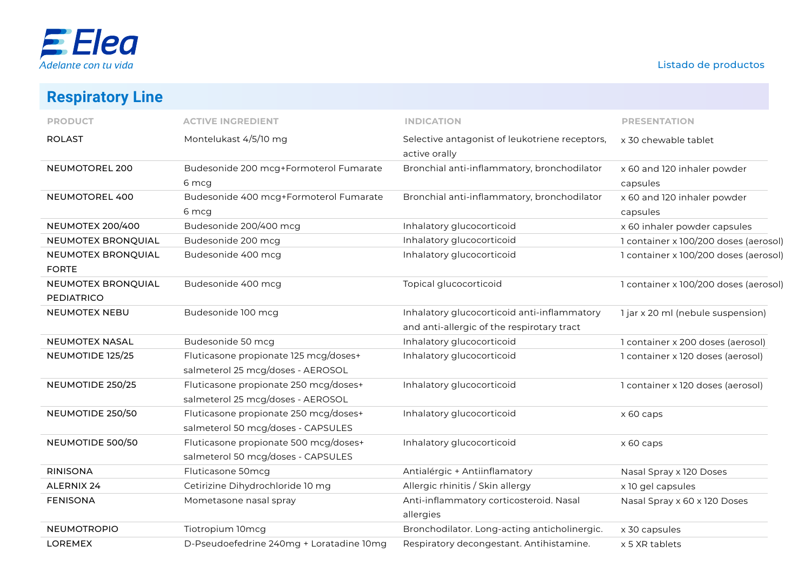

**Respiratory Line**

| <b>INCOPHALULY LING</b>            |                                          |                                                |                                       |
|------------------------------------|------------------------------------------|------------------------------------------------|---------------------------------------|
| <b>PRODUCT</b>                     | <b>ACTIVE INGREDIENT</b>                 | <b>INDICATION</b>                              | <b>PRESENTATION</b>                   |
| <b>ROLAST</b>                      | Montelukast 4/5/10 mg                    | Selective antagonist of leukotriene receptors, | x 30 chewable tablet                  |
|                                    |                                          | active orally                                  |                                       |
| NEUMOTOREL 200                     | Budesonide 200 mcg+Formoterol Fumarate   | Bronchial anti-inflammatory, bronchodilator    | x 60 and 120 inhaler powder           |
|                                    | 6 mcg                                    |                                                | capsules                              |
| <b>NEUMOTOREL 400</b>              | Budesonide 400 mcg+Formoterol Fumarate   | Bronchial anti-inflammatory, bronchodilator    | x 60 and 120 inhaler powder           |
|                                    | 6 mcg                                    |                                                | capsules                              |
| <b>NEUMOTEX 200/400</b>            | Budesonide 200/400 mcg                   | Inhalatory glucocorticoid                      | x 60 inhaler powder capsules          |
| NEUMOTEX BRONQUIAL                 | Budesonide 200 mcg                       | Inhalatory glucocorticoid                      | 1 container x 100/200 doses (aerosol) |
| NEUMOTEX BRONQUIAL<br><b>FORTE</b> | Budesonide 400 mcg                       | Inhalatory glucocorticoid                      | 1 container x 100/200 doses (aerosol) |
| NEUMOTEX BRONQUIAL                 | Budesonide 400 mcg                       | Topical glucocorticoid                         | 1 container x 100/200 doses (aerosol) |
| <b>PEDIATRICO</b>                  |                                          |                                                |                                       |
| <b>NEUMOTEX NEBU</b>               | Budesonide 100 mcg                       | Inhalatory glucocorticoid anti-inflammatory    | 1 jar x 20 ml (nebule suspension)     |
|                                    |                                          | and anti-allergic of the respirotary tract     |                                       |
| <b>NEUMOTEX NASAL</b>              | Budesonide 50 mcg                        | Inhalatory glucocorticoid                      | 1 container x 200 doses (aerosol)     |
| NEUMOTIDE 125/25                   | Fluticasone propionate 125 mcg/doses+    | Inhalatory glucocorticoid                      | 1 container x 120 doses (aerosol)     |
|                                    | salmeterol 25 mcg/doses - AEROSOL        |                                                |                                       |
| NEUMOTIDE 250/25                   | Fluticasone propionate 250 mcg/doses+    | Inhalatory glucocorticoid                      | 1 container x 120 doses (aerosol)     |
|                                    | salmeterol 25 mcg/doses - AEROSOL        |                                                |                                       |
| NEUMOTIDE 250/50                   | Fluticasone propionate 250 mcg/doses+    | Inhalatory glucocorticoid                      | x 60 caps                             |
|                                    | salmeterol 50 mcg/doses - CAPSULES       |                                                |                                       |
| NEUMOTIDE 500/50                   | Fluticasone propionate 500 mcg/doses+    | Inhalatory glucocorticoid                      | x 60 caps                             |
|                                    | salmeterol 50 mcg/doses - CAPSULES       |                                                |                                       |
| <b>RINISONA</b>                    | Fluticasone 50mcg                        | Antialérgic + Antiinflamatory                  | Nasal Spray x 120 Doses               |
| <b>ALERNIX 24</b>                  | Cetirizine Dihydrochloride 10 mg         | Allergic rhinitis / Skin allergy               | x 10 gel capsules                     |
| <b>FENISONA</b>                    | Mometasone nasal spray                   | Anti-inflammatory corticosteroid. Nasal        | Nasal Spray x 60 x 120 Doses          |
|                                    |                                          | allergies                                      |                                       |
| <b>NEUMOTROPIO</b>                 | Tiotropium 10mcg                         | Bronchodilator. Long-acting anticholinergic.   | x 30 capsules                         |
| LOREMEX                            | D-Pseudoefedrine 240mg + Loratadine 10mg | Respiratory decongestant. Antihistamine.       | x 5 XR tablets                        |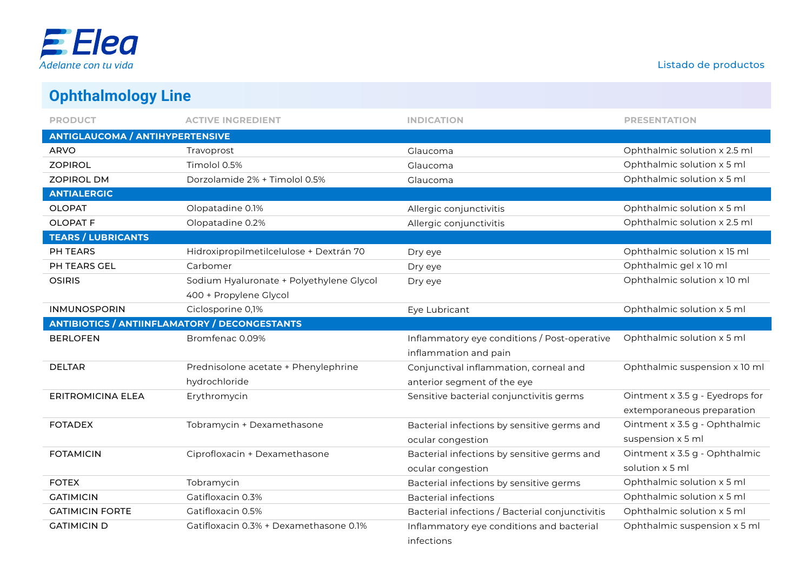

# **Ophthalmology Line**

| <b>PRODUCT</b>                                       | <b>ACTIVE INGREDIENT</b>                 | <b>INDICATION</b>                               | <b>PRESENTATION</b>             |
|------------------------------------------------------|------------------------------------------|-------------------------------------------------|---------------------------------|
| <b>ANTIGLAUCOMA / ANTIHYPERTENSIVE</b>               |                                          |                                                 |                                 |
| <b>ARVO</b>                                          | Travoprost                               | Glaucoma                                        | Ophthalmic solution x 2.5 ml    |
| <b>ZOPIROL</b>                                       | Timolol 0.5%                             | Glaucoma                                        | Ophthalmic solution x 5 ml      |
| <b>ZOPIROL DM</b>                                    | Dorzolamide 2% + Timolol 0.5%            | Glaucoma                                        | Ophthalmic solution x 5 ml      |
| <b>ANTIALERGIC</b>                                   |                                          |                                                 |                                 |
| <b>OLOPAT</b>                                        | Olopatadine 0.1%                         | Allergic conjunctivitis                         | Ophthalmic solution x 5 ml      |
| <b>OLOPAT F</b>                                      | Olopatadine 0.2%                         | Allergic conjunctivitis                         | Ophthalmic solution x 2.5 ml    |
| <b>TEARS / LUBRICANTS</b>                            |                                          |                                                 |                                 |
| PH TEARS                                             | Hidroxipropilmetilcelulose + Dextrán 70  | Dry eye                                         | Ophthalmic solution x 15 ml     |
| PH TEARS GEL                                         | Carbomer                                 | Dry eye                                         | Ophthalmic gel x 10 ml          |
| <b>OSIRIS</b>                                        | Sodium Hyaluronate + Polyethylene Glycol | Dry eye                                         | Ophthalmic solution x 10 ml     |
|                                                      | 400 + Propylene Glycol                   |                                                 |                                 |
| <b>INMUNOSPORIN</b>                                  | Ciclosporine 0,1%                        | Eye Lubricant                                   | Ophthalmic solution x 5 ml      |
| <b>ANTIBIOTICS / ANTIINFLAMATORY / DECONGESTANTS</b> |                                          |                                                 |                                 |
| <b>BERLOFEN</b>                                      | Bromfenac 0.09%                          | Inflammatory eye conditions / Post-operative    | Ophthalmic solution x 5 ml      |
|                                                      |                                          | inflammation and pain                           |                                 |
| <b>DELTAR</b>                                        | Prednisolone acetate + Phenylephrine     | Conjunctival inflammation, corneal and          | Ophthalmic suspension x 10 ml   |
|                                                      | hydrochloride                            | anterior segment of the eye                     |                                 |
| <b>ERITROMICINA ELEA</b>                             | Erythromycin                             | Sensitive bacterial conjunctivitis germs        | Ointment x 3.5 g - Eyedrops for |
|                                                      |                                          |                                                 | extemporaneous preparation      |
| <b>FOTADEX</b>                                       | Tobramycin + Dexamethasone               | Bacterial infections by sensitive germs and     | Ointment x 3.5 g - Ophthalmic   |
|                                                      |                                          | ocular congestion                               | suspension x 5 ml               |
| <b>FOTAMICIN</b>                                     | Ciprofloxacin + Dexamethasone            | Bacterial infections by sensitive germs and     | Ointment x 3.5 g - Ophthalmic   |
|                                                      |                                          | ocular congestion                               | solution x 5 ml                 |
| <b>FOTEX</b>                                         | Tobramycin                               | Bacterial infections by sensitive germs         | Ophthalmic solution x 5 ml      |
| <b>GATIMICIN</b>                                     | Gatifloxacin 0.3%                        | <b>Bacterial infections</b>                     | Ophthalmic solution x 5 ml      |
| <b>GATIMICIN FORTE</b>                               | Gatifloxacin 0.5%                        | Bacterial infections / Bacterial conjunctivitis | Ophthalmic solution x 5 ml      |
| <b>GATIMICIN D</b>                                   | Gatifloxacin 0.3% + Dexamethasone 0.1%   | Inflammatory eye conditions and bacterial       | Ophthalmic suspension x 5 ml    |
|                                                      |                                          | infections                                      |                                 |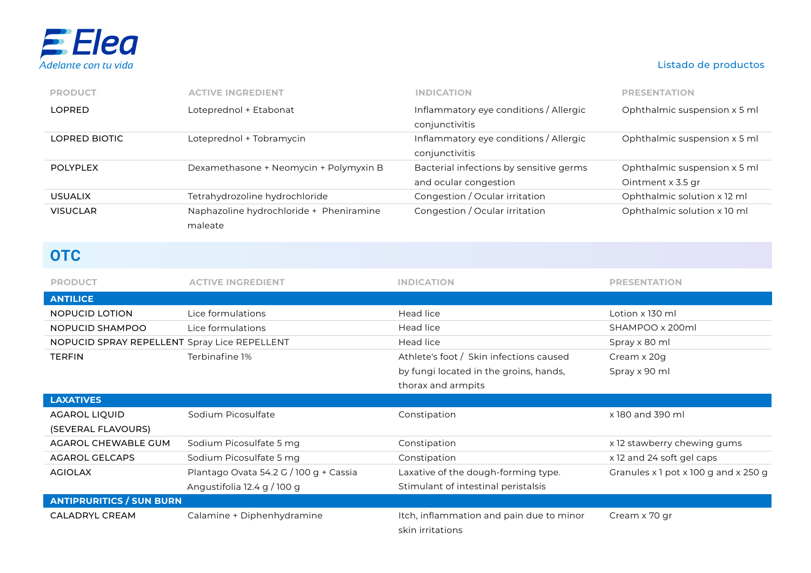

| <b>PRODUCT</b>  | <b>ACTIVE INGREDIENT</b>                           | <b>INDICATION</b>                                                | <b>PRESENTATION</b>                               |
|-----------------|----------------------------------------------------|------------------------------------------------------------------|---------------------------------------------------|
| <b>LOPRED</b>   | Loteprednol + Etabonat                             | Inflammatory eye conditions / Allergic<br>conjunctivitis         | Ophthalmic suspension x 5 ml                      |
| LOPRED BIOTIC   | Loteprednol + Tobramycin                           | Inflammatory eye conditions / Allergic<br>conjunctivitis         | Ophthalmic suspension x 5 ml                      |
| <b>POLYPLEX</b> | Dexamethasone + Neomycin + Polymyxin B             | Bacterial infections by sensitive germs<br>and ocular congestion | Ophthalmic suspension x 5 ml<br>Ointment x 3.5 gr |
| <b>USUALIX</b>  | Tetrahydrozoline hydrochloride                     | Congestion / Ocular irritation                                   | Ophthalmic solution x 12 ml                       |
| <b>VISUCLAR</b> | Naphazoline hydrochloride + Pheniramine<br>maleate | Congestion / Ocular irritation                                   | Ophthalmic solution x 10 ml                       |

### **OTC**

| <b>PRODUCT</b>                               | <b>ACTIVE INGREDIENT</b>               | <b>INDICATION</b>                                            | <b>PRESENTATION</b>                  |
|----------------------------------------------|----------------------------------------|--------------------------------------------------------------|--------------------------------------|
| <b>ANTILICE</b>                              |                                        |                                                              |                                      |
| NOPUCID LOTION                               | Lice formulations                      | Head lice                                                    | Lotion x 130 ml                      |
| NOPUCID SHAMPOO                              | Lice formulations                      | Head lice                                                    | SHAMPOO x 200ml                      |
| NOPUCID SPRAY REPELLENT Spray Lice REPELLENT |                                        | <b>Head lice</b>                                             | Spray x 80 ml                        |
| <b>TERFIN</b>                                | Terbinafine 1%                         | Athlete's foot / Skin infections caused                      | Cream x 20g                          |
|                                              |                                        | by fungi located in the groins, hands,                       | Spray x 90 ml                        |
|                                              |                                        | thorax and armpits                                           |                                      |
| <b>LAXATIVES</b>                             |                                        |                                                              |                                      |
| <b>AGAROL LIQUID</b>                         | Sodium Picosulfate                     | Constipation                                                 | x 180 and 390 ml                     |
| (SEVERAL FLAVOURS)                           |                                        |                                                              |                                      |
| AGAROL CHEWABLE GUM                          | Sodium Picosulfate 5 mg                | Constipation                                                 | x 12 stawberry chewing gums          |
| <b>AGAROL GELCAPS</b>                        | Sodium Picosulfate 5 mg                | Constipation                                                 | x 12 and 24 soft gel caps            |
| <b>AGIOLAX</b>                               | Plantago Ovata 54.2 G / 100 g + Cassia | Laxative of the dough-forming type.                          | Granules x 1 pot x 100 g and x 250 g |
|                                              | Angustifolia 12.4 g / 100 g            | Stimulant of intestinal peristalsis                          |                                      |
| <b>ANTIPRURITICS / SUN BURN</b>              |                                        |                                                              |                                      |
| <b>CALADRYL CREAM</b>                        | Calamine + Diphenhydramine             | Itch, inflammation and pain due to minor<br>skin irritations | Cream x 70 gr                        |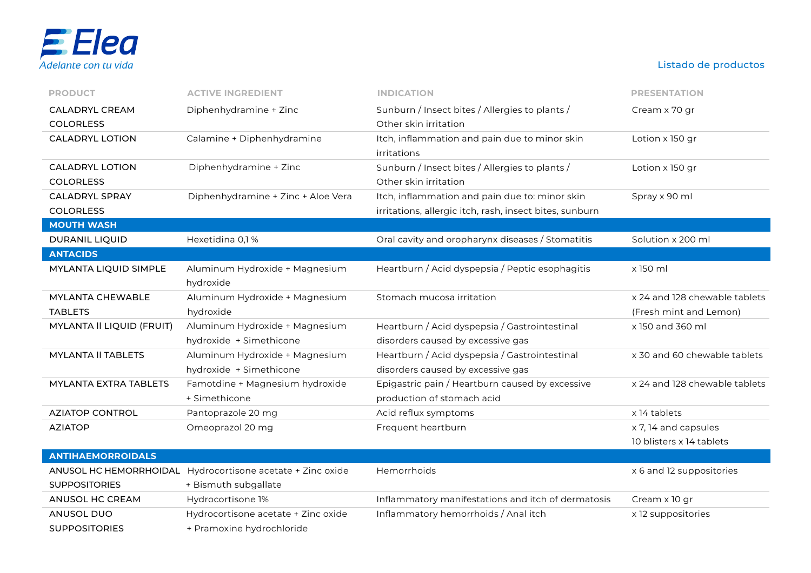

| <b>PRODUCT</b>                   | <b>ACTIVE INGREDIENT</b>            | <b>INDICATION</b>                                       | <b>PRESENTATION</b>           |
|----------------------------------|-------------------------------------|---------------------------------------------------------|-------------------------------|
| <b>CALADRYL CREAM</b>            | Diphenhydramine + Zinc              | Sunburn / Insect bites / Allergies to plants /          | Cream x 70 gr                 |
| <b>COLORLESS</b>                 |                                     | Other skin irritation                                   |                               |
| <b>CALADRYL LOTION</b>           | Calamine + Diphenhydramine          | Itch, inflammation and pain due to minor skin           | Lotion x 150 gr               |
|                                  |                                     | irritations                                             |                               |
| <b>CALADRYL LOTION</b>           | Diphenhydramine + Zinc              | Sunburn / Insect bites / Allergies to plants /          | Lotion x 150 gr               |
| <b>COLORLESS</b>                 |                                     | Other skin irritation                                   |                               |
| <b>CALADRYL SPRAY</b>            | Diphenhydramine + Zinc + Aloe Vera  | Itch, inflammation and pain due to: minor skin          | Spray x 90 ml                 |
| <b>COLORLESS</b>                 |                                     | irritations, allergic itch, rash, insect bites, sunburn |                               |
| <b>MOUTH WASH</b>                |                                     |                                                         |                               |
| DURANIL LIQUID                   | Hexetidina 0,1%                     | Oral cavity and oropharynx diseases / Stomatitis        | Solution x 200 ml             |
| <b>ANTACIDS</b>                  |                                     |                                                         |                               |
| MYLANTA LIQUID SIMPLE            | Aluminum Hydroxide + Magnesium      | Heartburn / Acid dyspepsia / Peptic esophagitis         | x 150 ml                      |
|                                  | hydroxide                           |                                                         |                               |
| <b>MYLANTA CHEWABLE</b>          | Aluminum Hydroxide + Magnesium      | Stomach mucosa irritation                               | x 24 and 128 chewable tablets |
| <b>TABLETS</b>                   | hydroxide                           |                                                         | (Fresh mint and Lemon)        |
| <b>MYLANTA II LIQUID (FRUIT)</b> | Aluminum Hydroxide + Magnesium      | Heartburn / Acid dyspepsia / Gastrointestinal           | x 150 and 360 ml              |
|                                  | hydroxide + Simethicone             | disorders caused by excessive gas                       |                               |
| <b>MYLANTA II TABLETS</b>        | Aluminum Hydroxide + Magnesium      | Heartburn / Acid dyspepsia / Gastrointestinal           | x 30 and 60 chewable tablets  |
|                                  | hydroxide + Simethicone             | disorders caused by excessive gas                       |                               |
| MYLANTA EXTRA TABLETS            | Famotdine + Magnesium hydroxide     | Epigastric pain / Heartburn caused by excessive         | x 24 and 128 chewable tablets |
|                                  | + Simethicone                       | production of stomach acid                              |                               |
| <b>AZIATOP CONTROL</b>           | Pantoprazole 20 mg                  | Acid reflux symptoms                                    | x 14 tablets                  |
| <b>AZIATOP</b>                   | Omeoprazol 20 mg                    | Frequent heartburn                                      | x 7, 14 and capsules          |
|                                  |                                     |                                                         | 10 blisters x 14 tablets      |
| <b>ANTIHAEMORROIDALS</b>         |                                     |                                                         |                               |
| ANUSOL HC HEMORRHOIDAL           | Hydrocortisone acetate + Zinc oxide | Hemorrhoids                                             | x 6 and 12 suppositories      |
| <b>SUPPOSITORIES</b>             | + Bismuth subgallate                |                                                         |                               |
| <b>ANUSOL HC CREAM</b>           | Hydrocortisone 1%                   | Inflammatory manifestations and itch of dermatosis      | Cream x 10 gr                 |
| <b>ANUSOL DUO</b>                | Hydrocortisone acetate + Zinc oxide | Inflammatory hemorrhoids / Anal itch                    | x 12 suppositories            |

SUPPOSITORIES + Pramoxine hydrochloride